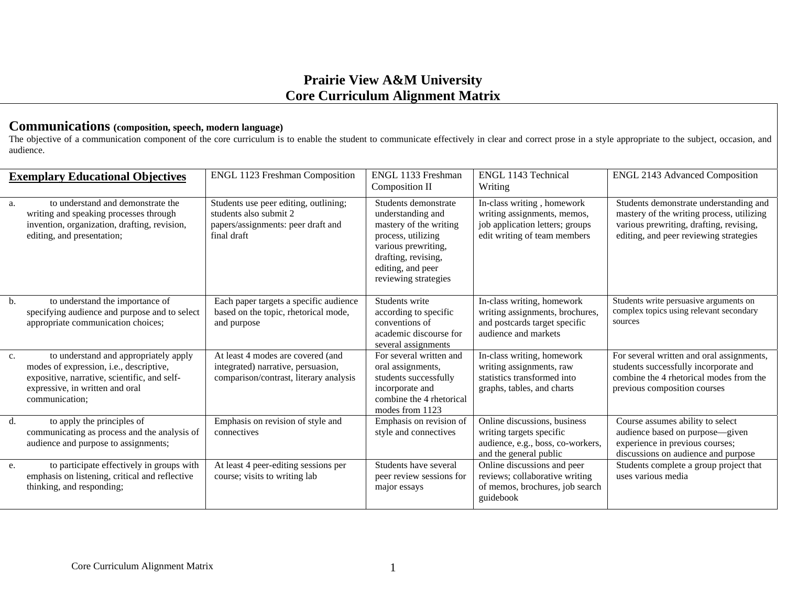## **Prairie View A&M University Core Curriculum Alignment Matrix**

## **Communications (composition, speech, modern language)**

The objective of a communication component of the core curriculum is to enable the student to communicate effectively in clear and correct prose in a style appropriate to the subject, occasion, and audience.

| <b>Exemplary Educational Objectives</b> |                                                                                                                                                                                       | ENGL 1123 Freshman Composition                                                                                       | ENGL 1133 Freshman<br>Composition II                                                                                                                                                 | ENGL 1143 Technical<br>Writing                                                                                               | <b>ENGL 2143 Advanced Composition</b>                                                                                                                                    |
|-----------------------------------------|---------------------------------------------------------------------------------------------------------------------------------------------------------------------------------------|----------------------------------------------------------------------------------------------------------------------|--------------------------------------------------------------------------------------------------------------------------------------------------------------------------------------|------------------------------------------------------------------------------------------------------------------------------|--------------------------------------------------------------------------------------------------------------------------------------------------------------------------|
| a.                                      | to understand and demonstrate the<br>writing and speaking processes through<br>invention, organization, drafting, revision,<br>editing, and presentation;                             | Students use peer editing, outlining;<br>students also submit 2<br>papers/assignments: peer draft and<br>final draft | Students demonstrate<br>understanding and<br>mastery of the writing<br>process, utilizing<br>various prewriting,<br>drafting, revising,<br>editing, and peer<br>reviewing strategies | In-class writing, homework<br>writing assignments, memos,<br>job application letters; groups<br>edit writing of team members | Students demonstrate understanding and<br>mastery of the writing process, utilizing<br>various prewriting, drafting, revising,<br>editing, and peer reviewing strategies |
| b.                                      | to understand the importance of<br>specifying audience and purpose and to select<br>appropriate communication choices;                                                                | Each paper targets a specific audience<br>based on the topic, rhetorical mode,<br>and purpose                        | Students write<br>according to specific<br>conventions of<br>academic discourse for<br>several assignments                                                                           | In-class writing, homework<br>writing assignments, brochures,<br>and postcards target specific<br>audience and markets       | Students write persuasive arguments on<br>complex topics using relevant secondary<br>sources                                                                             |
| $C_{\star}$                             | to understand and appropriately apply<br>modes of expression, i.e., descriptive,<br>expositive, narrative, scientific, and self-<br>expressive, in written and oral<br>communication: | At least 4 modes are covered (and<br>integrated) narrative, persuasion,<br>comparison/contrast, literary analysis    | For several written and<br>oral assignments,<br>students successfully<br>incorporate and<br>combine the 4 rhetorical<br>modes from 1123                                              | In-class writing, homework<br>writing assignments, raw<br>statistics transformed into<br>graphs, tables, and charts          | For several written and oral assignments,<br>students successfully incorporate and<br>combine the 4 rhetorical modes from the<br>previous composition courses            |
| d.                                      | to apply the principles of<br>communicating as process and the analysis of<br>audience and purpose to assignments;                                                                    | Emphasis on revision of style and<br>connectives                                                                     | Emphasis on revision of<br>style and connectives                                                                                                                                     | Online discussions, business<br>writing targets specific<br>audience, e.g., boss, co-workers,<br>and the general public      | Course assumes ability to select<br>audience based on purpose-given<br>experience in previous courses;<br>discussions on audience and purpose                            |
| e.                                      | to participate effectively in groups with<br>emphasis on listening, critical and reflective<br>thinking, and responding;                                                              | At least 4 peer-editing sessions per<br>course; visits to writing lab                                                | Students have several<br>peer review sessions for<br>major essays                                                                                                                    | Online discussions and peer<br>reviews; collaborative writing<br>of memos, brochures, job search<br>guidebook                | Students complete a group project that<br>uses various media                                                                                                             |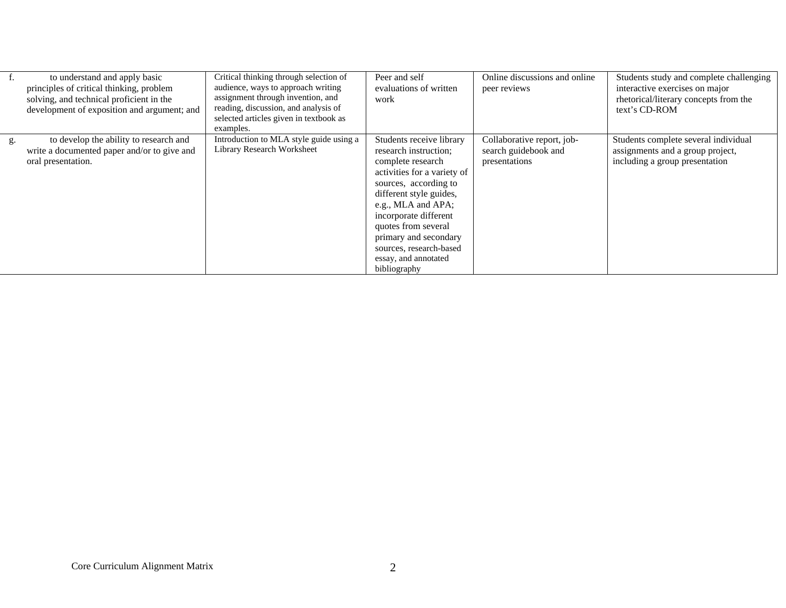|    | to understand and apply basic<br>principles of critical thinking, problem<br>solving, and technical proficient in the<br>development of exposition and argument; and | Critical thinking through selection of<br>audience, ways to approach writing<br>assignment through invention, and<br>reading, discussion, and analysis of<br>selected articles given in textbook as<br>examples. | Peer and self<br>evaluations of written<br>work                                                                                                                                                                                                                                                                             | Online discussions and online<br>peer reviews                       | Students study and complete challenging<br>interactive exercises on major<br>rhetorical/literary concepts from the<br>text's CD-ROM |
|----|----------------------------------------------------------------------------------------------------------------------------------------------------------------------|------------------------------------------------------------------------------------------------------------------------------------------------------------------------------------------------------------------|-----------------------------------------------------------------------------------------------------------------------------------------------------------------------------------------------------------------------------------------------------------------------------------------------------------------------------|---------------------------------------------------------------------|-------------------------------------------------------------------------------------------------------------------------------------|
| g. | to develop the ability to research and<br>write a documented paper and/or to give and<br>oral presentation.                                                          | Introduction to MLA style guide using a<br>Library Research Worksheet                                                                                                                                            | Students receive library<br>research instruction;<br>complete research<br>activities for a variety of<br>sources, according to<br>different style guides,<br>e.g., MLA and APA;<br>incorporate different<br>quotes from several<br>primary and secondary<br>sources, research-based<br>essay, and annotated<br>bibliography | Collaborative report, job-<br>search guidebook and<br>presentations | Students complete several individual<br>assignments and a group project,<br>including a group presentation                          |